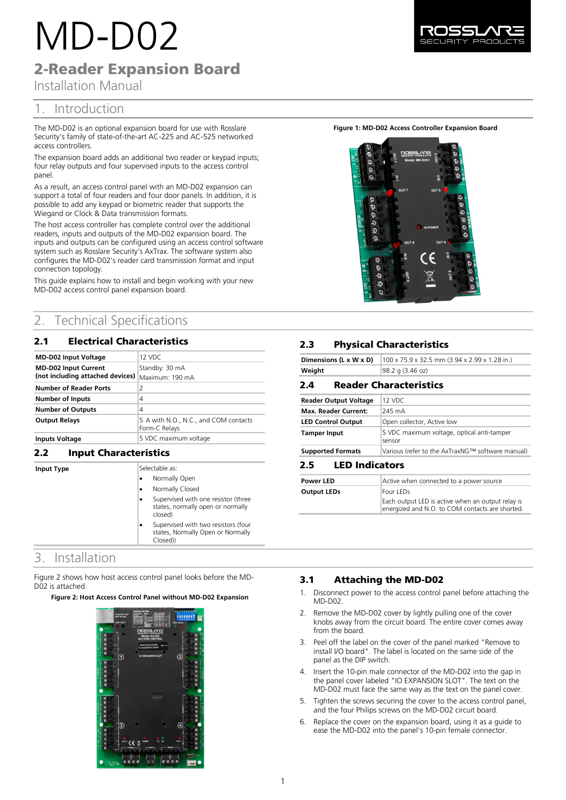# MD-D02

2-Reader Expansion Board

Installation Manual

# 1. Introduction

The MD-D02 is an optional expansion board for use with Rosslare Security's family of state-of-the-art AC-225 and AC-525 networked access controllers.

The expansion board adds an additional two reader or keypad inputs; four relay outputs and four supervised inputs to the access control panel

As a result, an access control panel with an MD-D02 expansion can support a total of four readers and four door panels. In addition, it is possible to add any keypad or biometric reader that supports the Wiegand or Clock & Data transmission formats.

The host access controller has complete control over the additional readers, inputs and outputs of the MD-D02 expansion board. The inputs and outputs can be configured using an access control software system such as Rosslare Security's AxTrax. The software system also configures the MD-D02's reader card transmission format and input connection topology.

This guide explains how to install and begin working with your new MD-D02 access control panel expansion board.

# 2. Technical Specifications

## 2.1 Electrical Characteristics

| <b>MD-D02 Input Voltage</b>      | 12 VDC                                                 |
|----------------------------------|--------------------------------------------------------|
| <b>MD-D02 Input Current</b>      | Standby: 30 mA                                         |
| (not including attached devices) | Maximum: 190 mA                                        |
| <b>Number of Reader Ports</b>    | 2                                                      |
| <b>Number of Inputs</b>          | 4                                                      |
| <b>Number of Outputs</b>         | 4                                                      |
| <b>Output Relays</b>             | 5 A with N.O., N.C., and COM contacts<br>Form-C Relays |
| <b>Inputs Voltage</b>            | 5 VDC maximum voltage                                  |

## **2.2 Input Characteristics**

**Input Type** 

| Selectable as:                                                                       |  |
|--------------------------------------------------------------------------------------|--|
| Normally Open                                                                        |  |
| Normally Closed                                                                      |  |
| Supervised with one resistor (three<br>states, normally open or normally<br>closed)  |  |
| Supervised with two resistors (four<br>states, Normally Open or Normally<br>Closed)) |  |

# 3. Installation

Figure 2 shows how host access control panel looks before the MD-D02 is attached.

**Figure 2: Host Access Control Panel without MD-D02 Expansion**



**Figure 1: MD-D02 Access Controller Expansion Board**



# **2.3** Physical Characteristics

| Dimensions (L x W x D)       | 100 x 75.9 x 32.5 mm (3.94 x 2.99 x 1.28 in.)        |  |
|------------------------------|------------------------------------------------------|--|
| Weight                       | 98.2 g (3.46 oz)                                     |  |
| 2.4                          | <b>Reader Characteristics</b>                        |  |
| <b>Reader Output Voltage</b> | $12$ VDC                                             |  |
| <b>Max. Reader Current:</b>  | 245 mA                                               |  |
| <b>LED Control Output</b>    | Open collector, Active low                           |  |
| <b>Tamper Input</b>          | 5 VDC maximum voltage, optical anti-tamper<br>sensor |  |
| <b>Supported Formats</b>     | Various (refer to the AxTraxNG™ software manual)     |  |
| n taalaa4aaa                 |                                                      |  |

#### **LED Indicators**

| <b>Power LED</b>   | Active when connected to a power source                                                              |
|--------------------|------------------------------------------------------------------------------------------------------|
| <b>Output LEDs</b> | Four LEDs                                                                                            |
|                    | Each output LED is active when an output relay is<br>energized and N.O. to COM contacts are shorted. |

## **3.1** Attaching the MD-D02

- 1. Disconnect power to the access control panel before attaching the MD-D02.
- Remove the MD-D02 cover by lightly pulling one of the cover knobs away from the circuit board. The entire cover comes away from the board.
- 3. Peel off the label on the cover of the panel marked "Remove to install I/O board". The label is located on the same side of the panel as the DIP switch.
- 4. Insert the 10-pin male connector of the MD-D02 into the gap in the panel cover labeled "IO EXPANSION SLOT". The text on the MD-D02 must face the same way as the text on the panel cover.
- 5. Tighten the screws securing the cover to the access control panel, and the four Philips screws on the MD-D02 circuit board.
- 6. Replace the cover on the expansion board, using it as a guide to ease the MD-D02 into the panel's 10-pin female connector.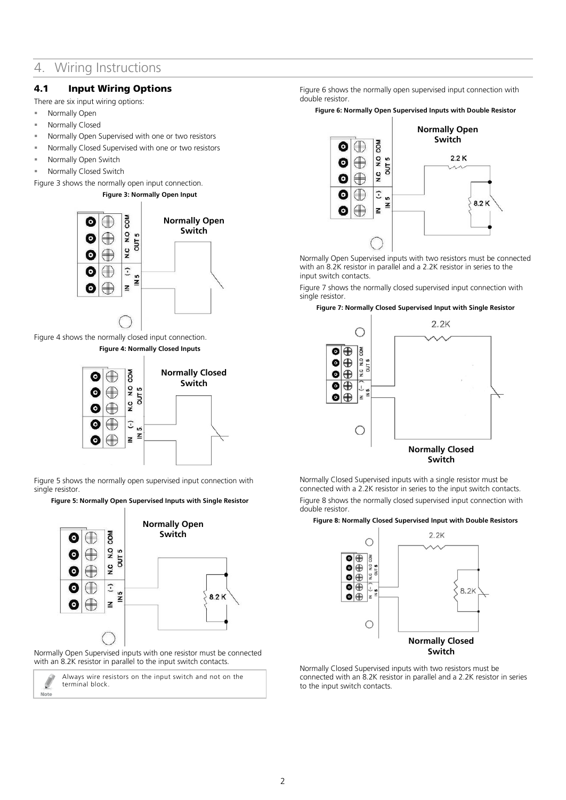# 4. Wiring Instructions

## 4.1 Input Wiring Options

There are six input wiring options:

- **Normally Open**
- Normally Closed
- Normally Open Supervised with one or two resistors
- Normally Closed Supervised with one or two resistors
- Normally Open Switch
- Normally Closed Switch

<span id="page-1-0"></span>[Figure 3](#page-1-0) shows the normally open input connection.

**Figure 3: Normally Open Input**



<span id="page-1-1"></span>[Figure 4](#page-1-1) shows the normally closed input connection. **Figure 4: Normally Closed Inputs**



[Figure 5](#page-1-2) shows the normally open supervised input connection with single resistor.

<span id="page-1-2"></span>**Figure 5: Normally Open Supervised Inputs with Single Resistor**



Normally Open Supervised inputs with one resistor must be connected with an 8.2K resistor in parallel to the input switch contacts.

Note

Always wire resistors on the input switch and not on the terminal block.

[Figure 6](#page-1-3) shows the normally open supervised input connection with double resistor.

<span id="page-1-3"></span>**Figure 6: Normally Open Supervised Inputs with Double Resistor**



Normally Open Supervised inputs with two resistors must be connected with an 8.2K resistor in parallel and a 2.2K resistor in series to the input switch contacts.

[Figure 7](#page-1-4) shows the normally closed supervised input connection with single resistor.

#### <span id="page-1-4"></span>**Figure 7: Normally Closed Supervised Input with Single Resistor**



Normally Closed Supervised inputs with a single resistor must be connected with a 2.2K resistor in series to the input switch contacts. [Figure 8](#page-1-5) shows the normally closed supervised input connection with double resistor.

#### <span id="page-1-5"></span>**Figure 8: Normally Closed Supervised Input with Double Resistors**



Normally Closed Supervised inputs with two resistors must be connected with an 8.2K resistor in parallel and a 2.2K resistor in series to the input switch contacts.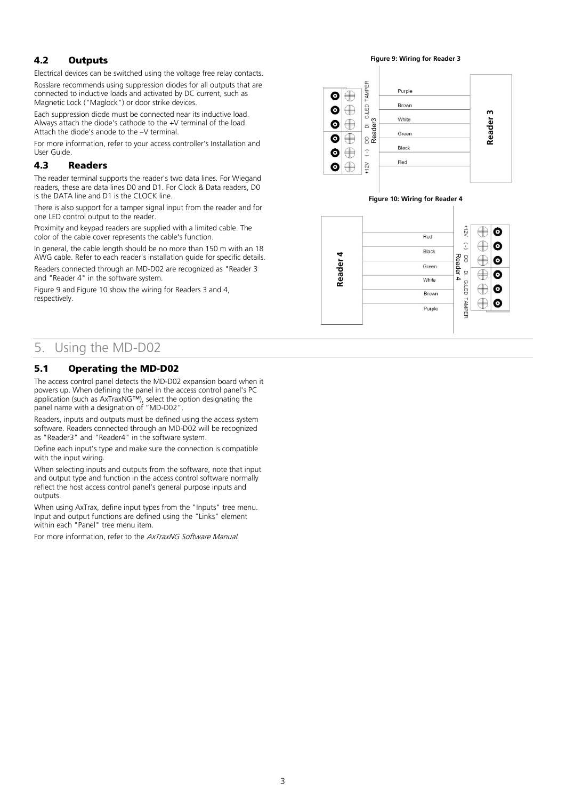## 4.2 Outputs

Electrical devices can be switched using the voltage free relay contacts.

Rosslare recommends using suppression diodes for all outputs that are connected to inductive loads and activated by DC current, such as Magnetic Lock ("Maglock") or door strike devices.

Each suppression diode must be connected near its inductive load. Always attach the diode's cathode to the +V terminal of the load. Attach the diode's anode to the –V terminal.

For more information, refer to your access controller's Installation and User Guide.

#### 4.3 Readers

The reader terminal supports the reader's two data lines. For Wiegand readers, these are data lines D0 and D1. For Clock & Data readers, D0 is the DATA line and D1 is the CLOCK line.

There is also support for a tamper signal input from the reader and for one LED control output to the reader.

Proximity and keypad readers are supplied with a limited cable. The color of the cable cover represents the cable's function.

In general, the cable length should be no more than 150 m with an 18 AWG cable. Refer to each reader's installation guide for specific details.

Readers connected through an MD-D02 are recognized as "Reader 3 and "Reader 4" in the software system.

[Figure 9](#page-2-0) and [Figure 10](#page-2-1) show the wiring for Readers 3 and 4, respectively.

# 5. Using the MD-D02

## 5.1 Operating the MD-D02

The access control panel detects the MD-D02 expansion board when it powers up. When defining the panel in the access control panel's PC application (such as AxTraxNG™), select the option designating the panel name with a designation of "MD-D02".

Readers, inputs and outputs must be defined using the access system software. Readers connected through an MD-D02 will be recognized as "Reader3" and "Reader4" in the software system.

Define each input's type and make sure the connection is compatible with the input wiring.

When selecting inputs and outputs from the software, note that input and output type and function in the access control software normally reflect the host access control panel's general purpose inputs and outputs.

When using AxTrax, define input types from the "Inputs" tree menu. Input and output functions are defined using the "Links" element within each "Panel" tree menu item.

For more information, refer to the AxTraxNG Software Manual.

**Figure 9: Wiring for Reader 3**

<span id="page-2-0"></span>

#### **Figure 10: Wiring for Reader 4**

<span id="page-2-1"></span>